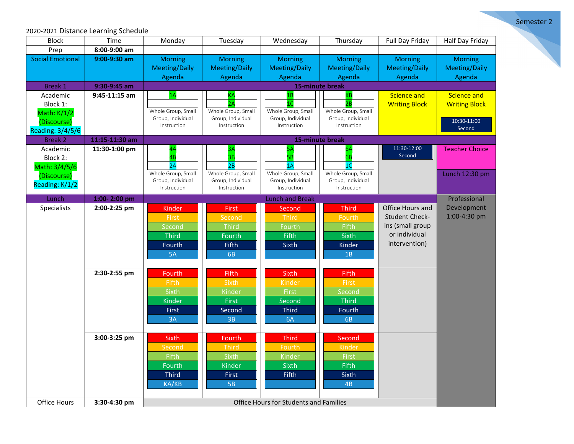Semester 2

## 2020-2021 Distance Learning Schedule

| <b>Block</b>                                                                  | Time            | Monday                                                             | Tuesday                                                                | Wednesday                                                          | Thursday                                                           | Full Day Friday                                                                                 | Half Day Friday                                                     |  |  |
|-------------------------------------------------------------------------------|-----------------|--------------------------------------------------------------------|------------------------------------------------------------------------|--------------------------------------------------------------------|--------------------------------------------------------------------|-------------------------------------------------------------------------------------------------|---------------------------------------------------------------------|--|--|
| Prep                                                                          | 8:00-9:00 am    |                                                                    |                                                                        |                                                                    |                                                                    |                                                                                                 |                                                                     |  |  |
| <b>Social Emotional</b>                                                       | 9:00-9:30 am    | <b>Morning</b><br><b>Meeting/Daily</b><br>Agenda                   | <b>Morning</b><br><b>Meeting/Daily</b><br>Agenda                       | <b>Morning</b><br><b>Meeting/Daily</b><br>Agenda                   | <b>Morning</b><br><b>Meeting/Daily</b><br>Agenda                   | <b>Morning</b><br><b>Meeting/Daily</b><br>Agenda                                                | <b>Morning</b><br><b>Meeting/Daily</b><br>Agenda                    |  |  |
| <b>Break 1</b>                                                                | 9:30-9:45 am    |                                                                    |                                                                        |                                                                    |                                                                    |                                                                                                 |                                                                     |  |  |
| Academic<br>Block 1:<br>Math: K/1/2<br>(Discourse)<br><b>Reading: 3/4/5/6</b> | $9:45-11:15$ am | 1A<br>Whole Group, Small<br>Group, Individual<br>Instruction       | Whole Group, Small<br>Group, Individual<br>Instruction                 | 1B<br>10<br>Whole Group, Small<br>Group, Individual<br>Instruction | KВ<br>2B<br>Whole Group, Small<br>Group, Individual<br>Instruction | <b>Science and</b><br><b>Writing Block</b>                                                      | <b>Science and</b><br><b>Writing Block</b><br>10:30-11:00<br>Second |  |  |
| <b>Break 2</b>                                                                | 11:15-11:30 am  | 15-minute break                                                    |                                                                        |                                                                    |                                                                    |                                                                                                 |                                                                     |  |  |
| Academic<br>Block 2:<br>Math: 3/4/5/6<br>(Discourse)                          | 11:30-1:00 pm   | 4B<br>2A<br>Whole Group, Small<br>Group, Individual                | 2B<br>Whole Group, Small<br>Group, Individual                          | Whole Group, Small<br>Group, Individual                            | 1C<br>Whole Group, Small<br>Group, Individual                      | 11:30-12:00<br>Second                                                                           | <b>Teacher Choice</b><br>Lunch 12:30 pm                             |  |  |
| Reading: K/1/2                                                                |                 | Instruction                                                        | Instruction                                                            | Instruction                                                        | Instruction                                                        |                                                                                                 |                                                                     |  |  |
| Lunch                                                                         | 1:00-2:00 pm    | <b>Lunch and Break</b>                                             |                                                                        |                                                                    |                                                                    |                                                                                                 |                                                                     |  |  |
| Specialists                                                                   | 2:00-2:25 pm    | Kinder<br>First<br>Second<br><b>Third</b><br>Fourth<br>5A          | <b>First</b><br>Second<br><b>Third</b><br>Fourth<br><b>Fifth</b><br>6B | Second<br><b>Third</b><br>Fourth<br>Fifth<br>Sixth                 | <b>Third</b><br>Fourth<br>Fifth<br>Sixth<br>Kinder<br>1B           | Office Hours and<br><b>Student Check-</b><br>ins (small group<br>or individual<br>intervention) | Professional<br>Development<br>1:00-4:30 pm                         |  |  |
|                                                                               | 2:30-2:55 pm    | Fourth<br>Fifth<br>Sixth<br>Kinder<br>First<br>3A                  | Fifth<br>Sixth<br>Kinder<br>First<br>Second<br>3B                      | Sixth<br>Kinder<br>First<br>Second<br><b>Third</b><br>6A           | Fifth<br>First<br>Second<br><b>Third</b><br>Fourth<br>6B           |                                                                                                 |                                                                     |  |  |
|                                                                               | 3:00-3:25 pm    | <b>Sixth</b><br>Second<br>Fifth<br>Fourth<br><b>Third</b><br>KA/KB | Fourth<br><b>Third</b><br>Sixth<br><b>Kinder</b><br>First<br><b>5B</b> | <b>Third</b><br>Fourth<br>Kinder<br>Sixth<br>Fifth                 | Second<br>Kinder<br>First<br>Fifth<br>Sixth<br>4B                  |                                                                                                 |                                                                     |  |  |
| Office Hours                                                                  | 3:30-4:30 pm    | <b>Office Hours for Students and Families</b>                      |                                                                        |                                                                    |                                                                    |                                                                                                 |                                                                     |  |  |